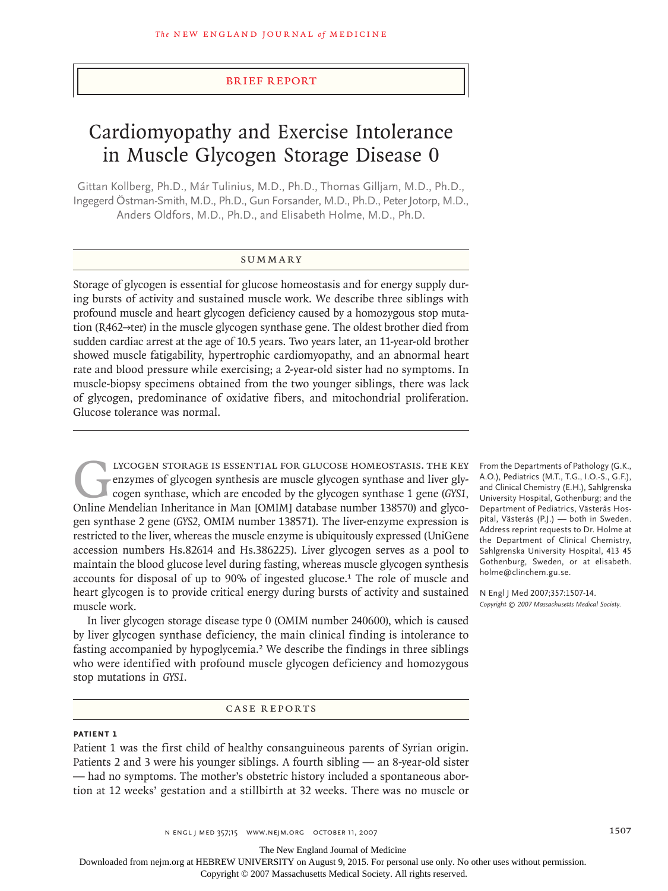### brief report

# Cardiomyopathy and Exercise Intolerance in Muscle Glycogen Storage Disease 0

Gittan Kollberg, Ph.D., Már Tulinius, M.D., Ph.D., Thomas Gilljam, M.D., Ph.D., Ingegerd Östman-Smith, M.D., Ph.D., Gun Forsander, M.D., Ph.D., Peter Jotorp, M.D., Anders Oldfors, M.D., Ph.D., and Elisabeth Holme, M.D., Ph.D.

# **SUMMARY**

Storage of glycogen is essential for glucose homeostasis and for energy supply during bursts of activity and sustained muscle work. We describe three siblings with profound muscle and heart glycogen deficiency caused by a homozygous stop mutation (R462→ter) in the muscle glycogen synthase gene. The oldest brother died from sudden cardiac arrest at the age of 10.5 years. Two years later, an 11-year-old brother showed muscle fatigability, hypertrophic cardiomyopathy, and an abnormal heart rate and blood pressure while exercising; a 2-year-old sister had no symptoms. In muscle-biopsy specimens obtained from the two younger siblings, there was lack of glycogen, predominance of oxidative fibers, and mitochondrial proliferation. Glucose tolerance was normal.

LYCOGEN STORAGE IS ESSENTIAL FOR GLUCOSE HOMEOSTASIS. THE KEY enzymes of glycogen synthesis are muscle glycogen synthase and liver glycogen synthase, which are encoded by the glycogen synthase 1 gene (GYS1, Online Mendelia enzymes of glycogen synthesis are muscle glycogen synthase and liver glycogen synthase, which are encoded by the glycogen synthase 1 gene (*GYS1,* Online Mendelian Inheritance in Man [OMIM] database number 138570) and glycogen synthase 2 gene (*GYS2,* OMIM number 138571). The liver-enzyme expression is restricted to the liver, whereas the muscle enzyme is ubiquitously expressed (UniGene accession numbers Hs.82614 and Hs.386225). Liver glycogen serves as a pool to maintain the blood glucose level during fasting, whereas muscle glycogen synthesis accounts for disposal of up to 90% of ingested glucose.<sup>1</sup> The role of muscle and heart glycogen is to provide critical energy during bursts of activity and sustained muscle work.

In liver glycogen storage disease type 0 (OMIM number 240600), which is caused by liver glycogen synthase deficiency, the main clinical finding is intolerance to fasting accompanied by hypoglycemia.2 We describe the findings in three siblings who were identified with profound muscle glycogen deficiency and homozygous stop mutations in *GYS1*.

# CASE REPORTS

# **Patient 1**

Patient 1 was the first child of healthy consanguineous parents of Syrian origin. Patients 2 and 3 were his younger siblings. A fourth sibling — an 8-year-old sister — had no symptoms. The mother's obstetric history included a spontaneous abortion at 12 weeks' gestation and a stillbirth at 32 weeks. There was no muscle or

From the Departments of Pathology (G.K., A.O.), Pediatrics (M.T., T.G., I.O.-S., G.F.), and Clinical Chemistry (E.H.), Sahlgrenska University Hospital, Gothenburg; and the Department of Pediatrics, Västerås Hospital, Västerås (P.J.) — both in Sweden. Address reprint requests to Dr. Holme at the Department of Clinical Chemistry, Sahlgrenska University Hospital, 413 45 Gothenburg, Sweden, or at elisabeth. holme@clinchem.gu.se.

N Engl J Med 2007;357:1507-14. *Copyright © 2007 Massachusetts Medical Society.*

n engl j med 357;15 www.nejm.org october 11, 2007 1507

The New England Journal of Medicine

Downloaded from nejm.org at HEBREW UNIVERSITY on August 9, 2015. For personal use only. No other uses without permission.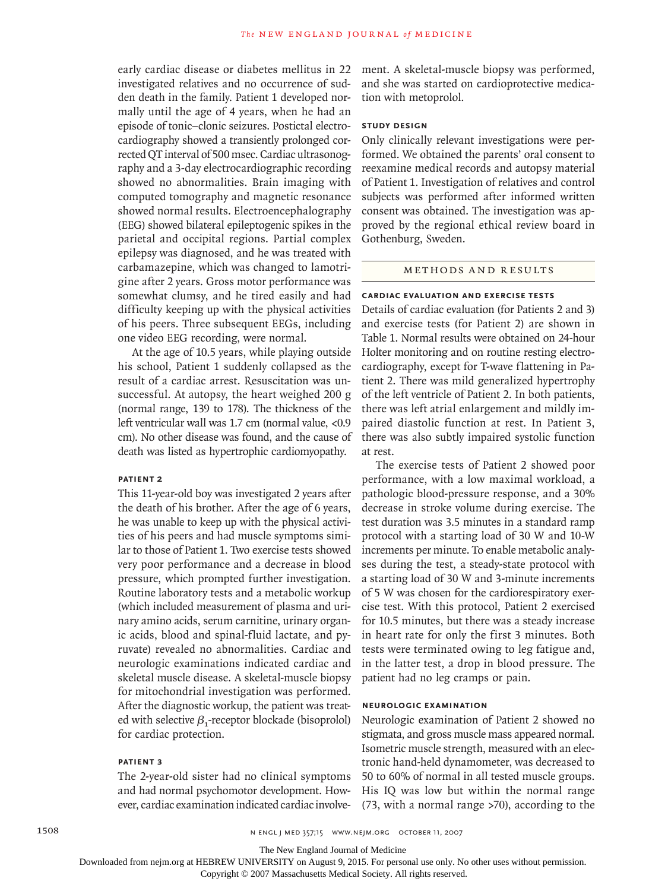early cardiac disease or diabetes mellitus in 22 investigated relatives and no occurrence of sudden death in the family. Patient 1 developed normally until the age of 4 years, when he had an episode of tonic–clonic seizures. Postictal electrocardiography showed a transiently prolonged corrected QT interval of 500 msec. Cardiac ultrasonography and a 3-day electrocardiographic recording showed no abnormalities. Brain imaging with computed tomography and magnetic resonance showed normal results. Electroencephalography (EEG) showed bilateral epileptogenic spikes in the parietal and occipital regions. Partial complex epilepsy was diagnosed, and he was treated with carbamazepine, which was changed to lamotrigine after 2 years. Gross motor performance was somewhat clumsy, and he tired easily and had difficulty keeping up with the physical activities of his peers. Three subsequent EEGs, including one video EEG recording, were normal.

At the age of 10.5 years, while playing outside his school, Patient 1 suddenly collapsed as the result of a cardiac arrest. Resuscitation was unsuccessful. At autopsy, the heart weighed 200 g (normal range, 139 to 178). The thickness of the left ventricular wall was 1.7 cm (normal value, <0.9 cm). No other disease was found, and the cause of death was listed as hypertrophic cardiomyopathy.

#### **Patient 2**

This 11-year-old boy was investigated 2 years after the death of his brother. After the age of 6 years, he was unable to keep up with the physical activities of his peers and had muscle symptoms similar to those of Patient 1. Two exercise tests showed very poor performance and a decrease in blood pressure, which prompted further investigation. Routine laboratory tests and a metabolic workup (which included measurement of plasma and urinary amino acids, serum carnitine, urinary organic acids, blood and spinal-fluid lactate, and pyruvate) revealed no abnormalities. Cardiac and neurologic examinations indicated cardiac and skeletal muscle disease. A skeletal-muscle biopsy for mitochondrial investigation was performed. After the diagnostic workup, the patient was treated with selective  $\beta_1$ -receptor blockade (bisoprolol) for cardiac protection.

# **Patient 3**

The 2-year-old sister had no clinical symptoms and had normal psychomotor development. However, cardiac examination indicated cardiac involvement. A skeletal-muscle biopsy was performed, and she was started on cardioprotective medication with metoprolol.

# **Study Design**

Only clinically relevant investigations were performed. We obtained the parents' oral consent to reexamine medical records and autopsy material of Patient 1. Investigation of relatives and control subjects was performed after informed written consent was obtained. The investigation was approved by the regional ethical review board in Gothenburg, Sweden.

### METHODS AND RESULTS

# **Cardiac Evaluation and Exercise Tests**

Details of cardiac evaluation (for Patients 2 and 3) and exercise tests (for Patient 2) are shown in Table 1. Normal results were obtained on 24-hour Holter monitoring and on routine resting electrocardiography, except for T-wave flattening in Patient 2. There was mild generalized hypertrophy of the left ventricle of Patient 2. In both patients, there was left atrial enlargement and mildly impaired diastolic function at rest. In Patient 3, there was also subtly impaired systolic function at rest.

The exercise tests of Patient 2 showed poor performance, with a low maximal workload, a pathologic blood-pressure response, and a 30% decrease in stroke volume during exercise. The test duration was 3.5 minutes in a standard ramp protocol with a starting load of 30 W and 10-W increments per minute. To enable metabolic analyses during the test, a steady-state protocol with a starting load of 30 W and 3-minute increments of 5 W was chosen for the cardiorespiratory exercise test. With this protocol, Patient 2 exercised for 10.5 minutes, but there was a steady increase in heart rate for only the first 3 minutes. Both tests were terminated owing to leg fatigue and, in the latter test, a drop in blood pressure. The patient had no leg cramps or pain.

# **Neurologic Examination**

Neurologic examination of Patient 2 showed no stigmata, and gross muscle mass appeared normal. Isometric muscle strength, measured with an electronic hand-held dynamometer, was decreased to 50 to 60% of normal in all tested muscle groups. His IQ was low but within the normal range (73, with a normal range >70), according to the

The New England Journal of Medicine

Downloaded from nejm.org at HEBREW UNIVERSITY on August 9, 2015. For personal use only. No other uses without permission.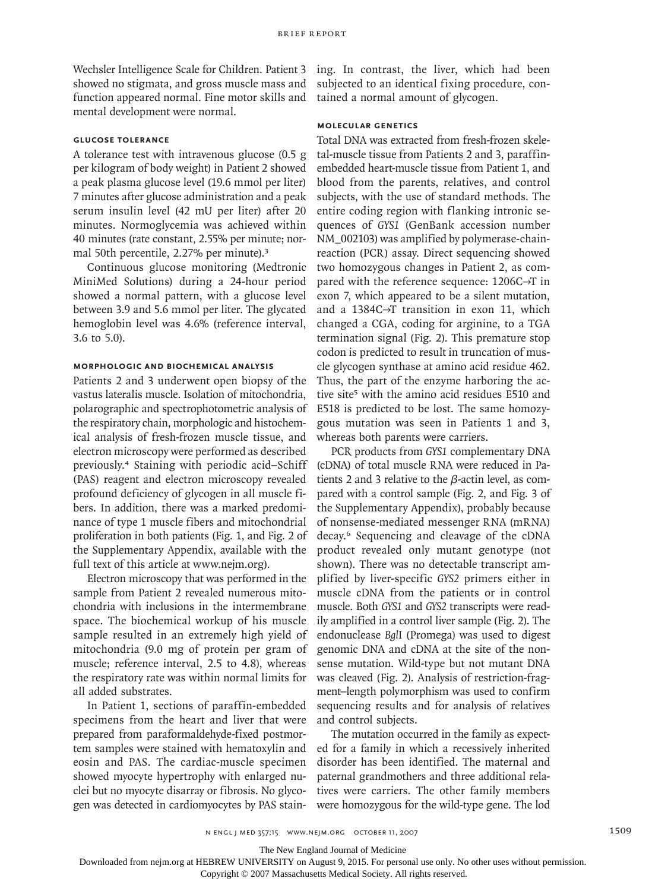Wechsler Intelligence Scale for Children. Patient 3 showed no stigmata, and gross muscle mass and function appeared normal. Fine motor skills and mental development were normal.

# **Glucose Tolerance**

A tolerance test with intravenous glucose (0.5 g per kilogram of body weight) in Patient 2 showed a peak plasma glucose level (19.6 mmol per liter) 7 minutes after glucose administration and a peak serum insulin level (42 mU per liter) after 20 minutes. Normoglycemia was achieved within 40 minutes (rate constant*,* 2.55% per minute; normal 50th percentile, 2.27% per minute).<sup>3</sup>

Continuous glucose monitoring (Medtronic MiniMed Solutions) during a 24-hour period showed a normal pattern, with a glucose level between 3.9 and 5.6 mmol per liter. The glycated hemoglobin level was 4.6% (reference interval, 3.6 to 5.0).

# **Morphologic and Biochemical Analysis**

Patients 2 and 3 underwent open biopsy of the vastus lateralis muscle. Isolation of mitochondria, polarographic and spectrophotometric analysis of the respiratory chain, morphologic and histochemical analysis of fresh-frozen muscle tissue, and electron microscopy were performed as described previously.4 Staining with periodic acid–Schiff (PAS) reagent and electron microscopy revealed profound deficiency of glycogen in all muscle fibers. In addition, there was a marked predominance of type 1 muscle fibers and mitochondrial proliferation in both patients (Fig. 1, and Fig. 2 of the Supplementary Appendix, available with the full text of this article at www.nejm.org).

Electron microscopy that was performed in the sample from Patient 2 revealed numerous mitochondria with inclusions in the intermembrane space. The biochemical workup of his muscle sample resulted in an extremely high yield of mitochondria (9.0 mg of protein per gram of muscle; reference interval, 2.5 to 4.8), whereas the respiratory rate was within normal limits for all added substrates.

In Patient 1, sections of paraffin-embedded specimens from the heart and liver that were prepared from paraformaldehyde-fixed postmortem samples were stained with hematoxylin and eosin and PAS. The cardiac-muscle specimen showed myocyte hypertrophy with enlarged nuclei but no myocyte disarray or fibrosis. No glycogen was detected in cardiomyocytes by PAS staining. In contrast, the liver, which had been subjected to an identical fixing procedure, contained a normal amount of glycogen.

# **Molecular Genetics**

Total DNA was extracted from fresh-frozen skeletal-muscle tissue from Patients 2 and 3, paraffinembedded heart-muscle tissue from Patient 1, and blood from the parents, relatives, and control subjects, with the use of standard methods. The entire coding region with flanking intronic sequences of *GYS1* (GenBank accession number NM\_002103) was amplified by polymerase-chainreaction (PCR) assay. Direct sequencing showed two homozygous changes in Patient 2, as compared with the reference sequence: 1206C→T in exon 7, which appeared to be a silent mutation, and a 1384C→T transition in exon 11, which changed a CGA, coding for arginine, to a TGA termination signal (Fig. 2). This premature stop codon is predicted to result in truncation of muscle glycogen synthase at amino acid residue 462. Thus, the part of the enzyme harboring the active site<sup>5</sup> with the amino acid residues E510 and E518 is predicted to be lost. The same homozygous mutation was seen in Patients 1 and 3, whereas both parents were carriers.

PCR products from *GYS1* complementary DNA (cDNA) of total muscle RNA were reduced in Patients 2 and 3 relative to the β-actin level, as compared with a control sample (Fig. 2, and Fig. 3 of the Supplementary Appendix), probably because of nonsense-mediated messenger RNA (mRNA) decay.6 Sequencing and cleavage of the cDNA product revealed only mutant genotype (not shown). There was no detectable transcript amplified by liver-specific *GYS2* primers either in muscle cDNA from the patients or in control muscle. Both *GYS1* and *GYS2* transcripts were readily amplified in a control liver sample (Fig. 2). The endonuclease *Bgl*I (Promega) was used to digest genomic DNA and cDNA at the site of the nonsense mutation. Wild-type but not mutant DNA was cleaved (Fig. 2). Analysis of restriction-fragment–length polymorphism was used to confirm sequencing results and for analysis of relatives and control subjects.

The mutation occurred in the family as expected for a family in which a recessively inherited disorder has been identified. The maternal and paternal grandmothers and three additional relatives were carriers. The other family members were homozygous for the wild-type gene. The lod

The New England Journal of Medicine

Downloaded from nejm.org at HEBREW UNIVERSITY on August 9, 2015. For personal use only. No other uses without permission.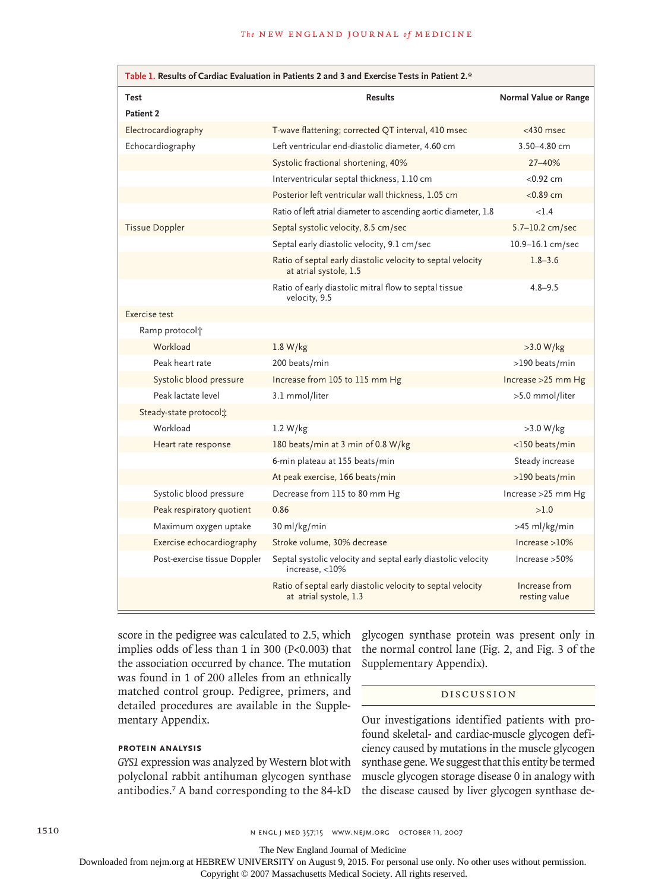| Table 1. Results of Cardiac Evaluation in Patients 2 and 3 and Exercise Tests in Patient 2.* |                                                                                       |                                |  |
|----------------------------------------------------------------------------------------------|---------------------------------------------------------------------------------------|--------------------------------|--|
| <b>Test</b>                                                                                  | <b>Results</b>                                                                        | Normal Value or Range          |  |
| Patient 2                                                                                    |                                                                                       |                                |  |
| Electrocardiography                                                                          | T-wave flattening; corrected QT interval, 410 msec                                    | $<$ 430 msec                   |  |
| Echocardiography                                                                             | Left ventricular end-diastolic diameter, 4.60 cm                                      | 3.50-4.80 cm                   |  |
|                                                                                              | Systolic fractional shortening, 40%                                                   | 27-40%                         |  |
|                                                                                              | Interventricular septal thickness, 1.10 cm                                            | < 0.92 cm                      |  |
|                                                                                              | Posterior left ventricular wall thickness, 1.05 cm                                    | $<$ 0.89 cm                    |  |
|                                                                                              | Ratio of left atrial diameter to ascending aortic diameter, 1.8                       | <1.4                           |  |
| <b>Tissue Doppler</b>                                                                        | Septal systolic velocity, 8.5 cm/sec                                                  | 5.7-10.2 cm/sec                |  |
|                                                                                              | Septal early diastolic velocity, 9.1 cm/sec                                           | 10.9-16.1 cm/sec               |  |
|                                                                                              | Ratio of septal early diastolic velocity to septal velocity<br>at atrial systole, 1.5 | $1.8 - 3.6$                    |  |
|                                                                                              | Ratio of early diastolic mitral flow to septal tissue<br>velocity, 9.5                | $4.8 - 9.5$                    |  |
| Exercise test                                                                                |                                                                                       |                                |  |
| Ramp protocol <sup>+</sup>                                                                   |                                                                                       |                                |  |
| Workload                                                                                     | 1.8 W/kg                                                                              | $>3.0 W/kg$                    |  |
| Peak heart rate                                                                              | 200 beats/min                                                                         | >190 beats/min                 |  |
| Systolic blood pressure                                                                      | Increase from 105 to 115 mm Hg                                                        | Increase $>25$ mm Hg           |  |
| Peak lactate level                                                                           | 3.1 mmol/liter                                                                        | >5.0 mmol/liter                |  |
| Steady-state protocol:                                                                       |                                                                                       |                                |  |
| Workload                                                                                     | 1.2 W/kg                                                                              | >3.0 W/kg                      |  |
| Heart rate response                                                                          | 180 beats/min at 3 min of 0.8 W/kg                                                    | <150 beats/min                 |  |
|                                                                                              | 6-min plateau at 155 beats/min                                                        | Steady increase                |  |
|                                                                                              | At peak exercise, 166 beats/min                                                       | >190 beats/min                 |  |
| Systolic blood pressure                                                                      | Decrease from 115 to 80 mm Hg                                                         | Increase > 25 mm Hg            |  |
| Peak respiratory quotient                                                                    | 0.86                                                                                  | >1.0                           |  |
| Maximum oxygen uptake                                                                        | 30 ml/kg/min                                                                          | >45 ml/kg/min                  |  |
| Exercise echocardiography                                                                    | Stroke volume, 30% decrease                                                           | Increase > 10%                 |  |
| Post-exercise tissue Doppler                                                                 | Septal systolic velocity and septal early diastolic velocity<br>increase, $<$ 10%     | Increase > 50%                 |  |
|                                                                                              | Ratio of septal early diastolic velocity to septal velocity<br>at atrial systole, 1.3 | Increase from<br>resting value |  |

score in the pedigree was calculated to 2.5, which implies odds of less than 1 in 300 (P<0.003) that the association occurred by chance. The mutation was found in 1 of 200 alleles from an ethnically matched control group. Pedigree, primers, and detailed procedures are available in the Supplementary Appendix.

# **Protein Analysis**

*GYS1* expression was analyzed by Western blot with polyclonal rabbit antihuman glycogen synthase antibodies.7 A band corresponding to the 84-kD

glycogen synthase protein was present only in the normal control lane (Fig. 2, and Fig. 3 of the Supplementary Appendix).

### Discussion

Our investigations identified patients with profound skeletal- and cardiac-muscle glycogen deficiency caused by mutations in the muscle glycogen synthase gene. We suggest that this entity be termed muscle glycogen storage disease 0 in analogy with the disease caused by liver glycogen synthase de-

1510 **n engl j med 357;15 www.nejm.org october 11, 2007** 

The New England Journal of Medicine

Downloaded from nejm.org at HEBREW UNIVERSITY on August 9, 2015. For personal use only. No other uses without permission.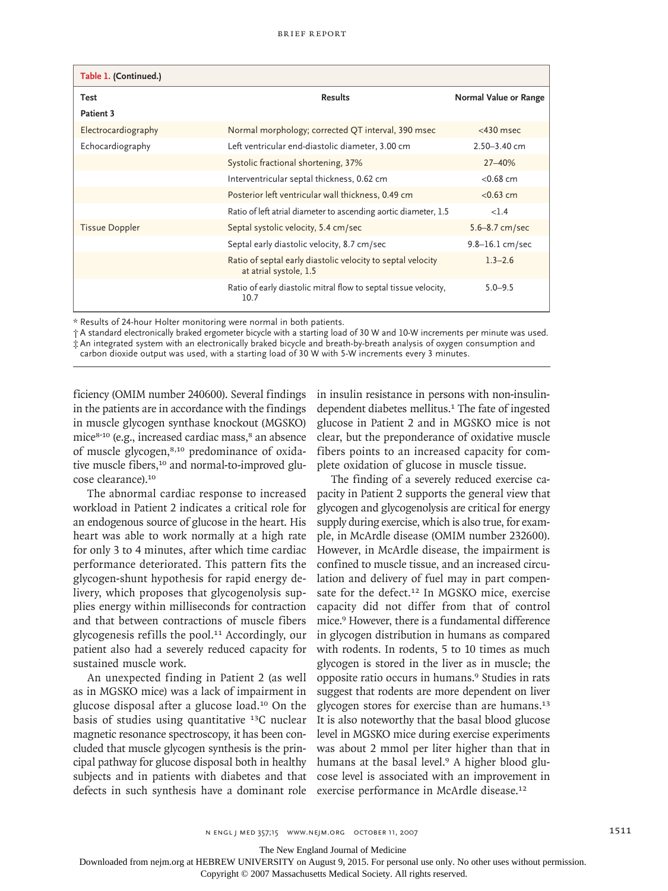| Table 1. (Continued.) |                                                                                       |                       |
|-----------------------|---------------------------------------------------------------------------------------|-----------------------|
| Test                  | <b>Results</b>                                                                        | Normal Value or Range |
| Patient 3             |                                                                                       |                       |
| Electrocardiography   | Normal morphology; corrected QT interval, 390 msec                                    | $<$ 430 msec          |
| Echocardiography      | Left ventricular end-diastolic diameter, 3.00 cm                                      | $2.50 - 3.40$ cm      |
|                       | Systolic fractional shortening, 37%                                                   | $27 - 40%$            |
|                       | Interventricular septal thickness, 0.62 cm                                            | $<$ 0.68 cm           |
|                       | Posterior left ventricular wall thickness, 0.49 cm                                    | $< 0.63$ cm           |
|                       | Ratio of left atrial diameter to ascending aortic diameter, 1.5                       | <1.4                  |
| <b>Tissue Doppler</b> | Septal systolic velocity, 5.4 cm/sec                                                  | $5.6 - 8.7$ cm/sec    |
|                       | Septal early diastolic velocity, 8.7 cm/sec                                           | $9.8 - 16.1$ cm/sec   |
|                       | Ratio of septal early diastolic velocity to septal velocity<br>at atrial systole, 1.5 | $1.3 - 2.6$           |
|                       | Ratio of early diastolic mitral flow to septal tissue velocity,<br>10.7               | $5.0 - 9.5$           |

\* Results of 24-hour Holter monitoring were normal in both patients.

† A standard electronically braked ergometer bicycle with a starting load of 30 W and 10-W increments per minute was used. ‡ An integrated system with an electronically braked bicycle and breath-by-breath analysis of oxygen consumption and carbon dioxide output was used, with a starting load of 30 W with 5-W increments every 3 minutes.

ficiency (OMIM number 240600). Several findings in the patients are in accordance with the findings in muscle glycogen synthase knockout (MGSKO) mice<sup>8-10</sup> (e.g., increased cardiac mass,<sup>8</sup> an absence of muscle glycogen,<sup>8,10</sup> predominance of oxidative muscle fibers,<sup>10</sup> and normal-to-improved glucose clearance).<sup>10</sup>

The abnormal cardiac response to increased workload in Patient 2 indicates a critical role for an endogenous source of glucose in the heart. His heart was able to work normally at a high rate for only 3 to 4 minutes, after which time cardiac performance deteriorated. This pattern fits the glycogen-shunt hypothesis for rapid energy delivery, which proposes that glycogenolysis supplies energy within milliseconds for contraction and that between contractions of muscle fibers glycogenesis refills the pool.11 Accordingly, our patient also had a severely reduced capacity for sustained muscle work.

An unexpected finding in Patient 2 (as well as in MGSKO mice) was a lack of impairment in glucose disposal after a glucose load.10 On the basis of studies using quantitative 13C nuclear magnetic resonance spectroscopy, it has been concluded that muscle glycogen synthesis is the principal pathway for glucose disposal both in healthy subjects and in patients with diabetes and that defects in such synthesis have a dominant role in insulin resistance in persons with non-insulindependent diabetes mellitus.<sup>1</sup> The fate of ingested glucose in Patient 2 and in MGSKO mice is not clear, but the preponderance of oxidative muscle fibers points to an increased capacity for complete oxidation of glucose in muscle tissue.

The finding of a severely reduced exercise capacity in Patient 2 supports the general view that glycogen and glycogenolysis are critical for energy supply during exercise, which is also true, for example, in McArdle disease (OMIM number 232600). However, in McArdle disease, the impairment is confined to muscle tissue, and an increased circulation and delivery of fuel may in part compensate for the defect.<sup>12</sup> In MGSKO mice, exercise capacity did not differ from that of control mice.9 However, there is a fundamental difference in glycogen distribution in humans as compared with rodents. In rodents, 5 to 10 times as much glycogen is stored in the liver as in muscle; the opposite ratio occurs in humans.9 Studies in rats suggest that rodents are more dependent on liver glycogen stores for exercise than are humans.<sup>13</sup> It is also noteworthy that the basal blood glucose level in MGSKO mice during exercise experiments was about 2 mmol per liter higher than that in humans at the basal level.9 A higher blood glucose level is associated with an improvement in exercise performance in McArdle disease.<sup>12</sup>

The New England Journal of Medicine

Downloaded from nejm.org at HEBREW UNIVERSITY on August 9, 2015. For personal use only. No other uses without permission.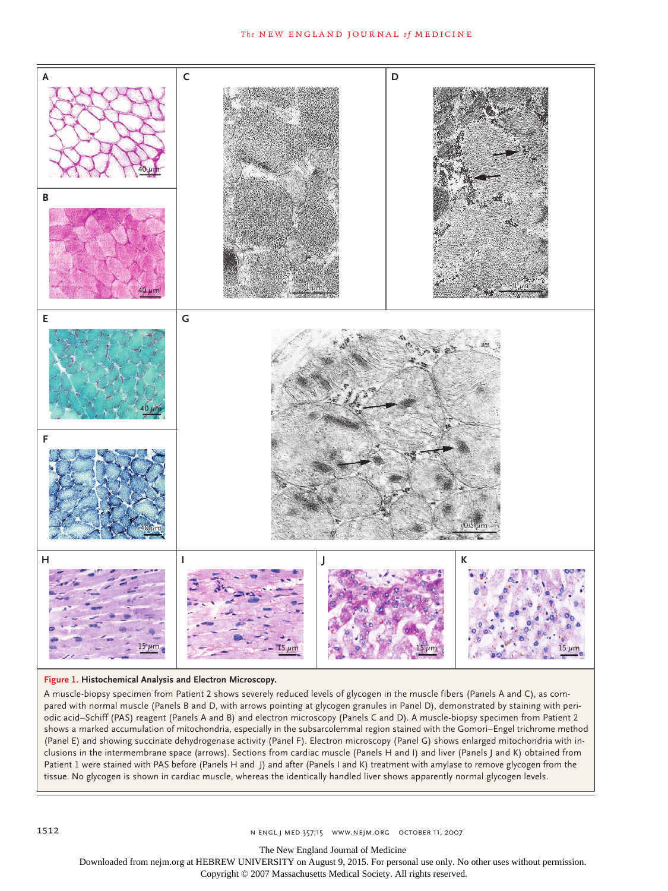

#### **Figure 1. Histochemical Analysis and Electron Microscopy.**

Fatient 1 were stained with PAS before (Panels H and J) and after (Panels I and K) treatment with amylase to remove glycogen from the with arrows pointing at grycogen granules in ranch<br>| R) and electron microscopy (Panels C and D) A r shows a marked accumulation of mitochondria, especially in the subsarcolemmal region stained with the Gomori–Engel trichrome method 4-C **SIZE** EMail Line ARTIST: ts clusions in the intermembrane space (arrows). Sections from cardiac muscle (Panels H and I) and liver (Panels J and K) obtained from (Panel E) and showing succinate dehydrogenase activity (Panel F). Electron microscopy (Panel G) shows enlarged mitochondria with intissue. No glycogen is shown in cardiac muscle, whereas the identically handled liver shows apparently normal glycogen levels.<br>. parcu with normal muscle (Fancis B and B, with arrows pointing at grycogen granules in Fanci B), demonstrated by staming with peri-<br>odic acid–Schiff (PAS) reagent (Panels A and B) and electron microscopy (Panels C and D). A muscle-biopsy specimen from Patient 2 shows severely reduced levels of glycogen in the muscle fibers (Panels A and C), as compared with normal muscle (Panels B and D, with arrows pointing at glycogen granules in Panel D), demonstrated by staining with peri-

**Figure has been redrawn and type has been reset.**

The New England Journal of Medicine

Downloaded from nejm.org at HEBREW UNIVERSITY on August 9, 2015. For personal use only. No other uses without permission.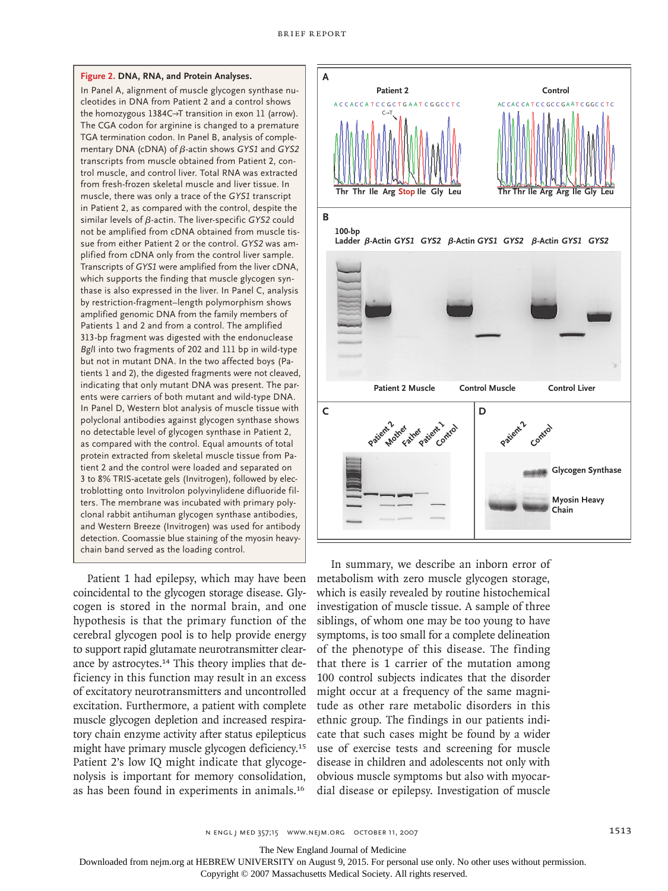#### **Figure 2. DNA, RNA, and Protein Analyses.**

In Panel A, alignment of muscle glycogen synthase nucleotides in DNA from Patient 2 and a control shows the homozygous 1384C→T transition in exon 11 (arrow). The CGA codon for arginine is changed to a premature TGA termination codon. In Panel B, analysis of complementary DNA (cDNA) of β-actin shows *GYS1* and *GYS2* transcripts from muscle obtained from Patient 2, control muscle, and control liver. Total RNA was extracted from fresh-frozen skeletal muscle and liver tissue. In muscle, there was only a trace of the *GYS1* transcript in Patient 2, as compared with the control, despite the similar levels of β-actin. The liver-specific *GYS2* could not be amplified from cDNA obtained from muscle tissue from either Patient 2 or the control. *GYS2* was amplified from cDNA only from the control liver sample. Transcripts of *GYS1* were amplified from the liver cDNA, which supports the finding that muscle glycogen synthase is also expressed in the liver. In Panel C, analysis by restriction-fragment–length polymorphism shows amplified genomic DNA from the family members of Patients 1 and 2 and from a control. The amplified 313-bp fragment was digested with the endonuclease *Bgl*I into two fragments of 202 and 111 bp in wild-type but not in mutant DNA. In the two affected boys (Patients 1 and 2), the digested fragments were not cleaved, indicating that only mutant DNA was present. The parents were carriers of both mutant and wild-type DNA. In Panel D, Western blot analysis of muscle tissue with polyclonal antibodies against glycogen synthase shows no detectable level of glycogen synthase in Patient 2, as compared with the control. Equal amounts of total protein extracted from skeletal muscle tissue from Patient 2 and the control were loaded and separated on 3 to 8% TRIS-acetate gels (Invitrogen), followed by electroblotting onto Invitrolon polyvinylidene difluoride filters. The membrane was incubated with primary polyclonal rabbit antihuman glycogen synthase antibodies, and Western Breeze (Invitrogen) was used for antibody detection. Coomassie blue staining of the myosin heavychain band served as the loading control.

Patient 1 had epilepsy, which may have been coincidental to the glycogen storage disease. Glycogen is stored in the normal brain, and one hypothesis is that the primary function of the cerebral glycogen pool is to help provide energy to support rapid glutamate neurotransmitter clearance by astrocytes.<sup>14</sup> This theory implies that deficiency in this function may result in an excess of excitatory neurotransmitters and uncontrolled excitation. Furthermore, a patient with complete muscle glycogen depletion and increased respiratory chain enzyme activity after status epilepticus might have primary muscle glycogen deficiency.<sup>15</sup> Patient 2's low IQ might indicate that glycogenolysis is important for memory consolidation, as has been found in experiments in animals.<sup>16</sup>



In summary, we describe an inborn error of metabolism with zero muscle glycogen storage, which is easily revealed by routine histochemical investigation of muscle tissue. A sample of three siblings, of whom one may be too young to have symptoms, is too small for a complete delineation of the phenotype of this disease. The finding that there is 1 carrier of the mutation among 100 control subjects indicates that the disorder might occur at a frequency of the same magnitude as other rare metabolic disorders in this ethnic group. The findings in our patients indicate that such cases might be found by a wider use of exercise tests and screening for muscle disease in children and adolescents not only with obvious muscle symptoms but also with myocardial disease or epilepsy. Investigation of muscle

n engl j med 357;15 www.nejm.org october 11, 2007 1513

The New England Journal of Medicine

Downloaded from nejm.org at HEBREW UNIVERSITY on August 9, 2015. For personal use only. No other uses without permission.